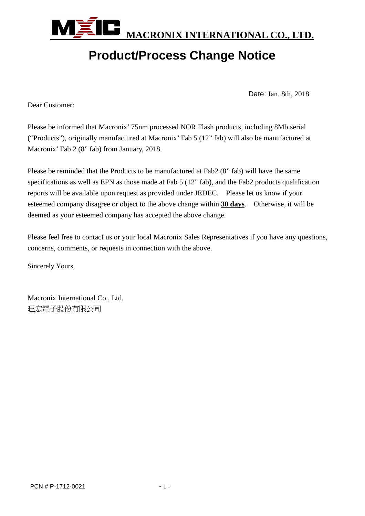

# **Product/Process Change Notice**

Date: Jan. 8th, 2018

Dear Customer:

Please be informed that Macronix' 75nm processed NOR Flash products, including 8Mb serial ("Products"), originally manufactured at Macronix' Fab 5 (12" fab) will also be manufactured at Macronix' Fab 2 (8" fab) from January, 2018.

Please be reminded that the Products to be manufactured at Fab2 (8" fab) will have the same specifications as well as EPN as those made at Fab 5 (12" fab), and the Fab2 products qualification reports will be available upon request as provided under JEDEC. Please let us know if your esteemed company disagree or object to the above change within **30 days**. Otherwise, it will be deemed as your esteemed company has accepted the above change.

Please feel free to contact us or your local Macronix Sales Representatives if you have any questions, concerns, comments, or requests in connection with the above.

Sincerely Yours,

Macronix International Co., Ltd. 旺宏電子股份有限公司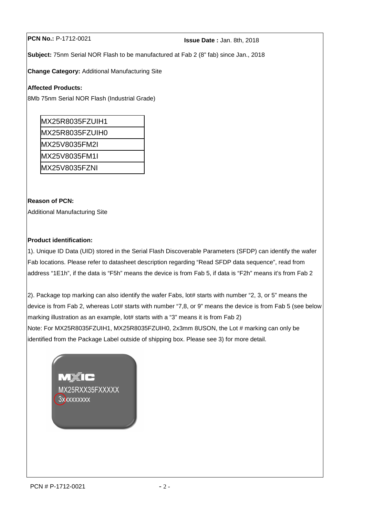# **PCN No.:** P-1712-0021 **Issue Date :** Jan. 8th, 2018

**Subject:** 75nm Serial NOR Flash to be manufactured at Fab 2 (8" fab) since Jan., 2018

**Change Category:** Additional Manufacturing Site

#### **Affected Products:**

8Mb 75nm Serial NOR Flash (Industrial Grade)

| MX25R8035FZUIH1 |
|-----------------|
| MX25R8035FZUIH0 |
| IMX25V8035FM2I  |
| MX25V8035FM1I   |
| IMX25V8035FZNI  |

## **Reason of PCN:**

Additional Manufacturing Site

## **Product identification:**

1). Unique ID Data (UID) stored in the Serial Flash Discoverable Parameters (SFDP) can identify the wafer Fab locations. Please refer to datasheet description regarding "Read SFDP data sequence", read from address "1E1h", if the data is "F5h" means the device is from Fab 5, if data is "F2h" means it's from Fab 2

2). Package top marking can also identify the wafer Fabs, lot# starts with number "2, 3, or 5" means the device is from Fab 2, whereas Lot# starts with number "7,8, or 9" means the device is from Fab 5 (see below marking illustration as an example, lot# starts with a "3" means it is from Fab 2)

Note: For MX25R8035FZUIH1, MX25R8035FZUIH0, 2x3mm 8USON, the Lot # marking can only be identified from the Package Label outside of shipping box. Please see 3) for more detail.

> MÉIC MX25RXX35FXXXXX **3xxxxxxxxx**